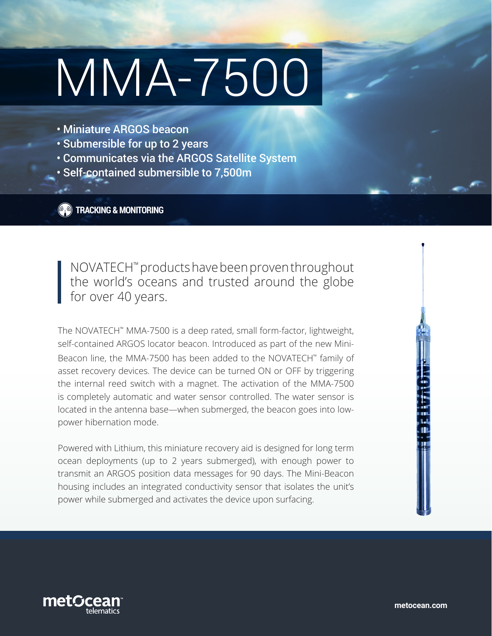# MMA-7500

- Miniature ARGOS beacon
- Submersible for up to 2 years
- Communicates via the ARGOS Satellite System
- Self-contained submersible to 7,500m

**CO** TRACKING & MONITORING

NOVATECH™ products have been proven throughout the world's oceans and trusted around the globe for over 40 years.

The NOVATECH™ MMA-7500 is a deep rated, small form-factor, lightweight, self-contained ARGOS locator beacon. Introduced as part of the new Mini-Beacon line, the MMA-7500 has been added to the NOVATECH™ family of asset recovery devices. The device can be turned ON or OFF by triggering the internal reed switch with a magnet. The activation of the MMA-7500 is completely automatic and water sensor controlled. The water sensor is located in the antenna base—when submerged, the beacon goes into lowpower hibernation mode.

Powered with Lithium, this miniature recovery aid is designed for long term ocean deployments (up to 2 years submerged), with enough power to transmit an ARGOS position data messages for 90 days. The Mini-Beacon housing includes an integrated conductivity sensor that isolates the unit's power while submerged and activates the device upon surfacing.